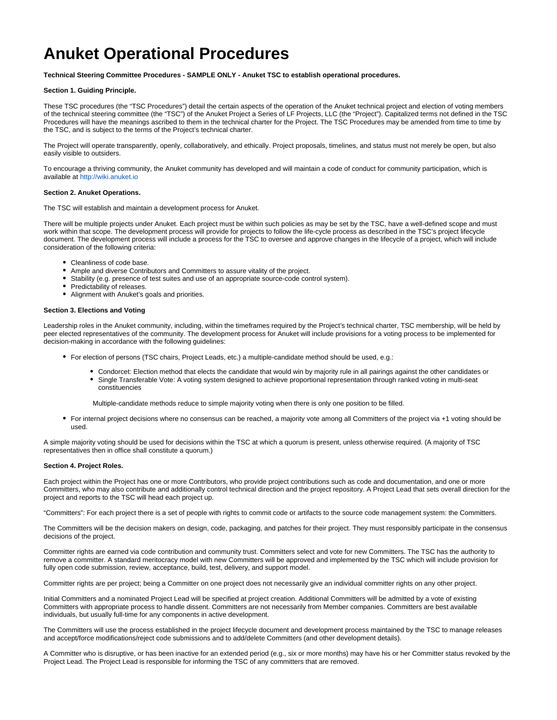# **Anuket Operational Procedures**

**Technical Steering Committee Procedures - SAMPLE ONLY - Anuket TSC to establish operational procedures.**

## **Section 1. Guiding Principle.**

These TSC procedures (the "TSC Procedures") detail the certain aspects of the operation of the Anuket technical project and election of voting members of the technical steering committee (the "TSC") of the Anuket Project a Series of LF Projects, LLC (the "Project"). Capitalized terms not defined in the TSC Procedures will have the meanings ascribed to them in the technical charter for the Project. The TSC Procedures may be amended from time to time by the TSC, and is subject to the terms of the Project's technical charter.

The Project will operate transparently, openly, collaboratively, and ethically. Project proposals, timelines, and status must not merely be open, but also easily visible to outsiders.

To encourage a thriving community, the Anuket community has developed and will maintain a code of conduct for community participation, which is available at<http://wiki.anuket.io>

#### **Section 2. Anuket Operations.**

The TSC will establish and maintain a development process for Anuket.

There will be multiple projects under Anuket. Each project must be within such policies as may be set by the TSC, have a well-defined scope and must work within that scope. The development process will provide for projects to follow the life-cycle process as described in the TSC's project lifecycle document. The development process will include a process for the TSC to oversee and approve changes in the lifecycle of a project, which will include consideration of the following criteria:

- Cleanliness of code base.
- Ample and diverse Contributors and Committers to assure vitality of the project.
- Stability (e.g. presence of test suites and use of an appropriate source-code control system).
- Predictability of releases.
- Alignment with Anuket's goals and priorities.

#### **Section 3. Elections and Voting**

Leadership roles in the Anuket community, including, within the timeframes required by the Project's technical charter, TSC membership, will be held by peer elected representatives of the community. The development process for Anuket will include provisions for a voting process to be implemented for decision-making in accordance with the following guidelines:

- For election of persons (TSC chairs, Project Leads, etc.) a multiple-candidate method should be used, e.g.:
	- Condorcet: Election method that elects the candidate that would win by majority rule in all pairings against the other candidates or Single Transferable Vote: A voting system designed to achieve proportional representation through ranked voting in multi-seat constituencies

Multiple-candidate methods reduce to simple majority voting when there is only one position to be filled.

For internal project decisions where no consensus can be reached, a majority vote among all Committers of the project via +1 voting should be used.

A simple majority voting should be used for decisions within the TSC at which a quorum is present, unless otherwise required. (A majority of TSC representatives then in office shall constitute a quorum.)

# **Section 4. Project Roles.**

Each project within the Project has one or more Contributors, who provide project contributions such as code and documentation, and one or more Committers, who may also contribute and additionally control technical direction and the project repository. A Project Lead that sets overall direction for the project and reports to the TSC will head each project up.

"Committers": For each project there is a set of people with rights to commit code or artifacts to the source code management system: the Committers.

The Committers will be the decision makers on design, code, packaging, and patches for their project. They must responsibly participate in the consensus decisions of the project.

Committer rights are earned via code contribution and community trust. Committers select and vote for new Committers. The TSC has the authority to remove a committer. A standard meritocracy model with new Committers will be approved and implemented by the TSC which will include provision for fully open code submission, review, acceptance, build, test, delivery, and support model.

Committer rights are per project; being a Committer on one project does not necessarily give an individual committer rights on any other project.

Initial Committers and a nominated Project Lead will be specified at project creation. Additional Committers will be admitted by a vote of existing Committers with appropriate process to handle dissent. Committers are not necessarily from Member companies. Committers are best available individuals, but usually full-time for any components in active development.

The Committers will use the process established in the project lifecycle document and development process maintained by the TSC to manage releases and accept/force modifications/reject code submissions and to add/delete Committers (and other development details).

A Committer who is disruptive, or has been inactive for an extended period (e.g., six or more months) may have his or her Committer status revoked by the Project Lead. The Project Lead is responsible for informing the TSC of any committers that are removed.